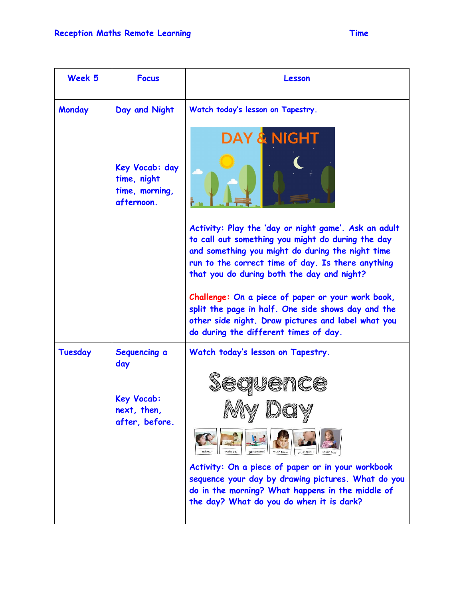| Week 5        | <b>Focus</b>                                                  | Lesson                                                                                                                                                                                                                                                           |
|---------------|---------------------------------------------------------------|------------------------------------------------------------------------------------------------------------------------------------------------------------------------------------------------------------------------------------------------------------------|
| <b>Monday</b> | Day and Night                                                 | Watch today's lesson on Tapestry.                                                                                                                                                                                                                                |
|               | Key Vocab: day<br>time, night<br>time, morning,<br>afternoon. | <b>DAY &amp; NIGHT</b>                                                                                                                                                                                                                                           |
|               |                                                               | Activity: Play the 'day or night game'. Ask an adult<br>to call out something you might do during the day<br>and something you might do during the night time<br>run to the correct time of day. Is there anything<br>that you do during both the day and night? |
|               |                                                               | Challenge: On a piece of paper or your work book,<br>split the page in half. One side shows day and the<br>other side night. Draw pictures and label what you<br>do during the different times of day.                                                           |
| Tuesday       | Sequencing a<br>day                                           | Watch today's lesson on Tapestry.                                                                                                                                                                                                                                |
|               |                                                               | 1UCNCG                                                                                                                                                                                                                                                           |
|               | <b>Key Vocab:</b><br>next, then,<br>after, before.            | Alaan Randas                                                                                                                                                                                                                                                     |
|               |                                                               |                                                                                                                                                                                                                                                                  |
|               |                                                               | Activity: On a piece of paper or in your workbook<br>sequence your day by drawing pictures. What do you<br>do in the morning? What happens in the middle of<br>the day? What do you do when it is dark?                                                          |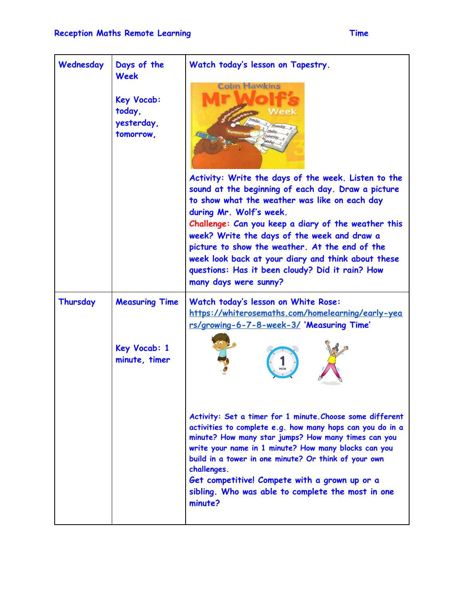| Wednesday | Days of the<br><b>Week</b><br><b>Key Vocab:</b><br>today,<br>yesterday,<br>tomorrow, | Watch today's lesson on Tapestry.<br><b>Colin Hawkins</b><br>Week<br>Activity: Write the days of the week. Listen to the<br>sound at the beginning of each day. Draw a picture<br>to show what the weather was like on each day<br>during Mr. Wolf's week.<br>Challenge: Can you keep a diary of the weather this<br>week? Write the days of the week and draw a<br>picture to show the weather. At the end of the<br>week look back at your diary and think about these<br>questions: Has it been cloudy? Did it rain? How<br>many days were sunny?                   |
|-----------|--------------------------------------------------------------------------------------|------------------------------------------------------------------------------------------------------------------------------------------------------------------------------------------------------------------------------------------------------------------------------------------------------------------------------------------------------------------------------------------------------------------------------------------------------------------------------------------------------------------------------------------------------------------------|
| Thursday  | <b>Measuring Time</b><br>Key Vocab: 1<br>minute, timer                               | Watch today's lesson on White Rose:<br>https://whiterosemaths.com/homelearning/early-yea<br>rs/growing-6-7-8-week-3/ 'Measuring Time'<br>Activity: Set a timer for 1 minute. Choose some different<br>activities to complete e.g. how many hops can you do in a<br>minute? How many star jumps? How many times can you<br>write your name in 1 minute? How many blocks can you<br>build in a tower in one minute? Or think of your own<br>challenges.<br>Get competitive! Compete with a grown up or a<br>sibling. Who was able to complete the most in one<br>minute? |